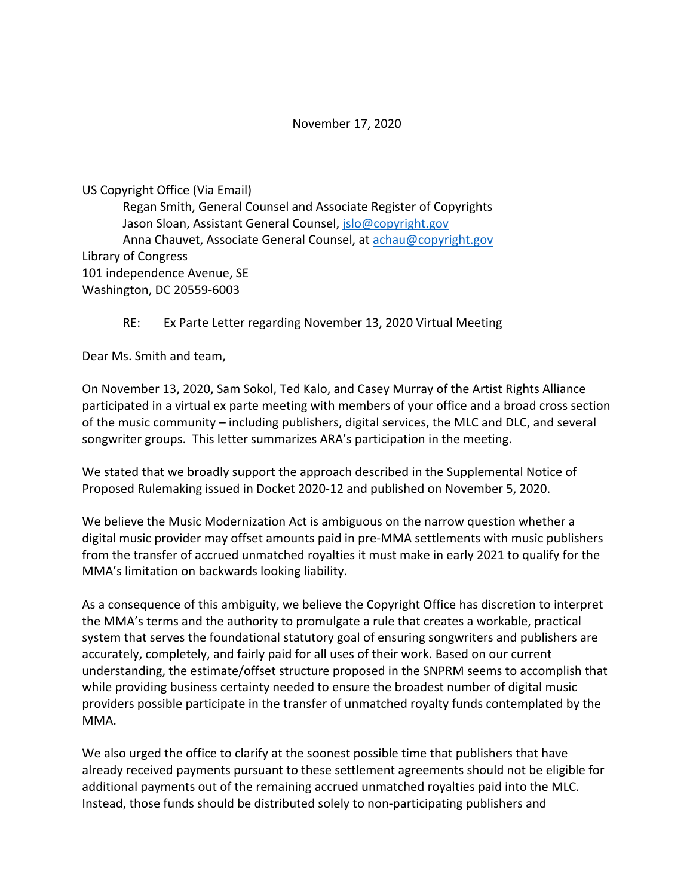## November 17, 2020

US Copyright Office (Via Email) Regan Smith, General Counsel and Associate Register of Copyrights Jason Sloan, Assistant General Counsel, jslo@copyright.gov Anna Chauvet, Associate General Counsel, at achau@copyright.gov Library of Congress 101 independence Avenue, SE Washington, DC 20559-6003

## RE: Ex Parte Letter regarding November 13, 2020 Virtual Meeting

Dear Ms. Smith and team,

On November 13, 2020, Sam Sokol, Ted Kalo, and Casey Murray of the Artist Rights Alliance participated in a virtual ex parte meeting with members of your office and a broad cross section of the music community – including publishers, digital services, the MLC and DLC, and several songwriter groups. This letter summarizes ARA's participation in the meeting.

We stated that we broadly support the approach described in the Supplemental Notice of Proposed Rulemaking issued in Docket 2020-12 and published on November 5, 2020.

We believe the Music Modernization Act is ambiguous on the narrow question whether a digital music provider may offset amounts paid in pre-MMA settlements with music publishers from the transfer of accrued unmatched royalties it must make in early 2021 to qualify for the MMA's limitation on backwards looking liability.

As a consequence of this ambiguity, we believe the Copyright Office has discretion to interpret the MMA's terms and the authority to promulgate a rule that creates a workable, practical system that serves the foundational statutory goal of ensuring songwriters and publishers are accurately, completely, and fairly paid for all uses of their work. Based on our current understanding, the estimate/offset structure proposed in the SNPRM seems to accomplish that while providing business certainty needed to ensure the broadest number of digital music providers possible participate in the transfer of unmatched royalty funds contemplated by the MMA.

We also urged the office to clarify at the soonest possible time that publishers that have already received payments pursuant to these settlement agreements should not be eligible for additional payments out of the remaining accrued unmatched royalties paid into the MLC. Instead, those funds should be distributed solely to non-participating publishers and